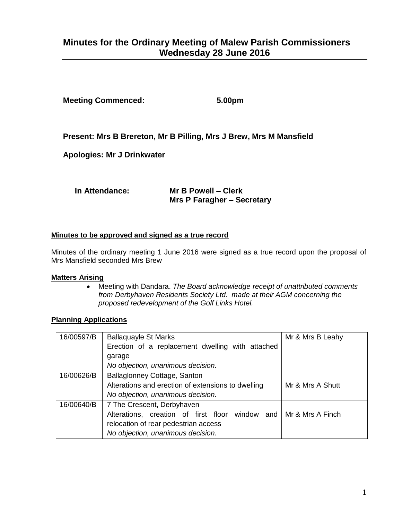# **Minutes for the Ordinary Meeting of Malew Parish Commissioners Wednesday 28 June 2016**

**Meeting Commenced: 5.00pm**

**Present: Mrs B Brereton, Mr B Pilling, Mrs J Brew, Mrs M Mansfield**

**Apologies: Mr J Drinkwater**

**In Attendance: Mr B Powell – Clerk**

**Mrs P Faragher – Secretary**

#### **Minutes to be approved and signed as a true record**

Minutes of the ordinary meeting 1 June 2016 were signed as a true record upon the proposal of Mrs Mansfield seconded Mrs Brew

#### **Matters Arising**

 Meeting with Dandara. *The Board acknowledge receipt of unattributed comments from Derbyhaven Residents Society Ltd. made at their AGM concerning the proposed redevelopment of the Golf Links Hotel.* 

#### **Planning Applications**

| 16/00597/B | <b>Ballaquayle St Marks</b>                                      | Mr & Mrs B Leahy |
|------------|------------------------------------------------------------------|------------------|
|            | Erection of a replacement dwelling with attached                 |                  |
|            | garage                                                           |                  |
|            | No objection, unanimous decision.                                |                  |
| 16/00626/B | Ballaglonney Cottage, Santon                                     |                  |
|            | Alterations and erection of extensions to dwelling               | Mr & Mrs A Shutt |
|            | No objection, unanimous decision.                                |                  |
| 16/00640/B | 7 The Crescent, Derbyhaven                                       |                  |
|            | Alterations, creation of first floor window and Mr & Mrs A Finch |                  |
|            | relocation of rear pedestrian access                             |                  |
|            | No objection, unanimous decision.                                |                  |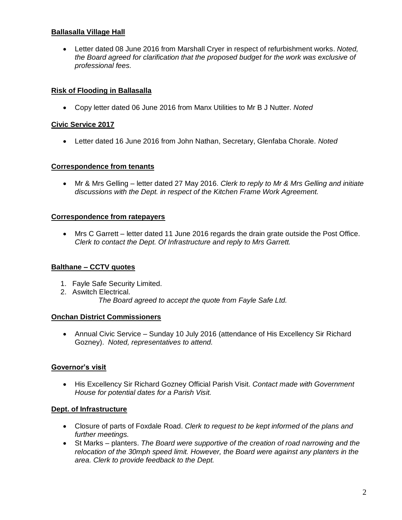## **Ballasalla Village Hall**

 Letter dated 08 June 2016 from Marshall Cryer in respect of refurbishment works. *Noted, the Board agreed for clarification that the proposed budget for the work was exclusive of professional fees.* 

## **Risk of Flooding in Ballasalla**

Copy letter dated 06 June 2016 from Manx Utilities to Mr B J Nutter. *Noted* 

#### **Civic Service 2017**

Letter dated 16 June 2016 from John Nathan, Secretary, Glenfaba Chorale. *Noted* 

#### **Correspondence from tenants**

 Mr & Mrs Gelling – letter dated 27 May 2016. *Clerk to reply to Mr & Mrs Gelling and initiate discussions with the Dept. in respect of the Kitchen Frame Work Agreement.*

## **Correspondence from ratepayers**

 Mrs C Garrett – letter dated 11 June 2016 regards the drain grate outside the Post Office. *Clerk to contact the Dept. Of Infrastructure and reply to Mrs Garrett.*

# **Balthane – CCTV quotes**

- 1. Fayle Safe Security Limited.
- 2. Aswitch Electrical.

*The Board agreed to accept the quote from Fayle Safe Ltd.*

#### **Onchan District Commissioners**

 Annual Civic Service – Sunday 10 July 2016 (attendance of His Excellency Sir Richard Gozney). *Noted, representatives to attend.*

# **Governor's visit**

 His Excellency Sir Richard Gozney Official Parish Visit. *Contact made with Government House for potential dates for a Parish Visit.*

#### **Dept. of Infrastructure**

- Closure of parts of Foxdale Road. *Clerk to request to be kept informed of the plans and further meetings.*
- St Marks planters. *The Board were supportive of the creation of road narrowing and the relocation of the 30mph speed limit. However, the Board were against any planters in the area. Clerk to provide feedback to the Dept.*